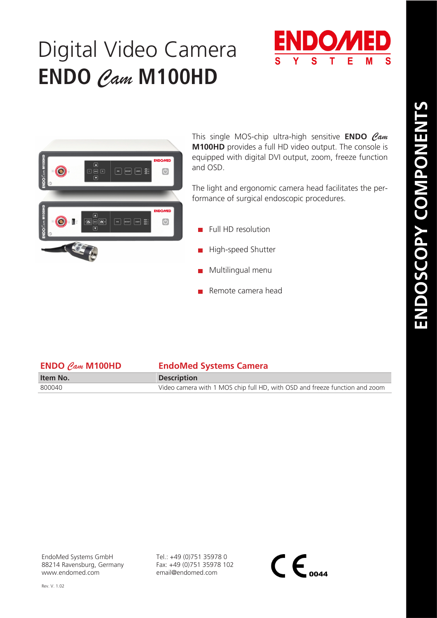## Digital Video Camera **ENDO** *Cam* **M100HD**





This single MOS-chip ultra-high sensitive **ENDO** *Cam* **M100HD** provides a full HD video output. The console is equipped with digital DVI output, zoom, freeze function and OSD.

The light and ergonomic camera head facilitates the performance of surgical endoscopic procedures.

- Full HD resolution
- **High-speed Shutter**
- Multilingual menu
- Remote camera head

| <b>ENDO</b> $\mathcal{C}_{\mathcal{A}m}$ <b>M100HD</b> | <b>EndoMed Systems Camera</b>                                               |
|--------------------------------------------------------|-----------------------------------------------------------------------------|
| Item No.                                               | <b>Description</b>                                                          |
| 800040                                                 | Video camera with 1 MOS chip full HD, with OSD and freeze function and zoom |

EndoMed Systems GmbH 88214 Ravensburg, Germany www.endomed.com

Tel.: +49 (0)751 35978 0 Fax: +49 (0)751 35978 102 email@endomed.com

 $\mathsf{CE}_{\scriptscriptstyle o$ 044